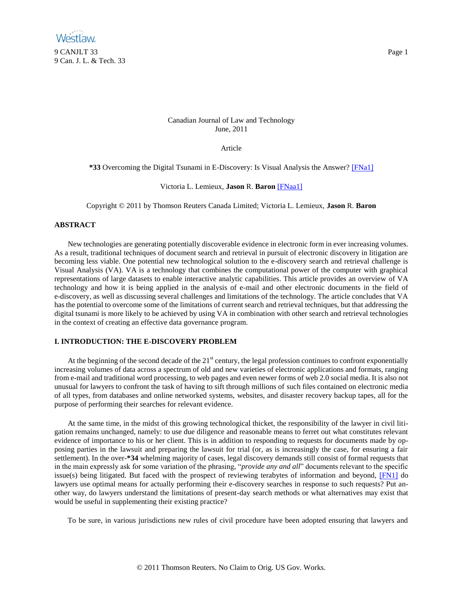# Canadian Journal of Law and Technology June, 2011

<span id="page-0-1"></span><span id="page-0-0"></span>Article

**\*33** Overcoming the Digital Tsunami in E-Discovery: Is Visual Analysis the Answer? [\[FNa1\]](#page-8-0)

Victoria L. Lemieux, **Jason** R. **Baron** [\[FNaa1\]](#page-8-1)

Copyright © 2011 by Thomson Reuters Canada Limited; Victoria L. Lemieux, **Jason** R. **Baron**

# **ABSTRACT**

New technologies are generating potentially discoverable evidence in electronic form in ever increasing volumes. As a result, traditional techniques of document search and retrieval in pursuit of electronic discovery in litigation are becoming less viable. One potential new technological solution to the e-discovery search and retrieval challenge is Visual Analysis (VA). VA is a technology that combines the computational power of the computer with graphical representations of large datasets to enable interactive analytic capabilities. This article provides an overview of VA technology and how it is being applied in the analysis of e-mail and other electronic documents in the field of e-discovery, as well as discussing several challenges and limitations of the technology. The article concludes that VA has the potential to overcome some of the limitations of current search and retrieval techniques, but that addressing the digital tsunami is more likely to be achieved by using VA in combination with other search and retrieval technologies in the context of creating an effective data governance program.

## **I. INTRODUCTION: THE E-DISCOVERY PROBLEM**

At the beginning of the second decade of the  $21<sup>st</sup>$  century, the legal profession continues to confront exponentially increasing volumes of data across a spectrum of old and new varieties of electronic applications and formats, ranging from e-mail and traditional word processing, to web pages and even newer forms of web 2.0 social media. It is also not unusual for lawyers to confront the task of having to sift through millions of such files contained on electronic media of all types, from databases and online networked systems, websites, and disaster recovery backup tapes, all for the purpose of performing their searches for relevant evidence.

At the same time, in the midst of this growing technological thicket, the responsibility of the lawyer in civil litigation remains unchanged, namely: to use due diligence and reasonable means to ferret out what constitutes relevant evidence of importance to his or her client. This is in addition to responding to requests for documents made by opposing parties in the lawsuit and preparing the lawsuit for trial (or, as is increasingly the case, for ensuring a fair settlement). In the over-**\*34** whelming majority of cases, legal discovery demands still consist of formal requests that in the main expressly ask for some variation of the phrasing, "*provide any and all*" documents relevant to the specific issue(s) being litigated. But faced with the prospect of reviewing terabytes of information and beyond, [\[FN1\]](#page-9-0) do lawyers use optimal means for actually performing their e-discovery searches in response to such requests? Put another way, do lawyers understand the limitations of present-day search methods or what alternatives may exist that would be useful in supplementing their existing practice?

<span id="page-0-2"></span>To be sure, in various jurisdictions new rules of civil procedure have been adopted ensuring that lawyers and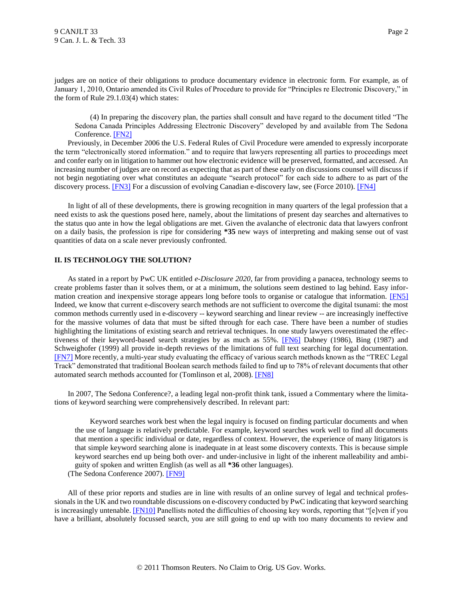judges are on notice of their obligations to produce documentary evidence in electronic form. For example, as of January 1, 2010, Ontario amended its Civil Rules of Procedure to provide for "Principles re Electronic Discovery," in the form of Rule 29.1.03(4) which states:

<span id="page-1-2"></span><span id="page-1-0"></span>(4) In preparing the discovery plan, the parties shall consult and have regard to the document titled "The Sedona Canada Principles Addressing Electronic Discovery" developed by and available from The Sedona Conference. [\[FN2\]](#page-9-1)

Previously, in December 2006 the U.S. Federal Rules of Civil Procedure were amended to expressly incorporate the term "electronically stored information." and to require that lawyers representing all parties to proceedings meet and confer early on in litigation to hammer out how electronic evidence will be preserved, formatted, and accessed. An increasing number of judges are on record as expecting that as part of these early on discussions counsel will discuss if not begin negotiating over what constitutes an adequate "search protocol" for each side to adhere to as part of the discovery process. [\[FN3\]](#page-9-2) For a discussion of evolving Canadian e-discovery law, see (Force 2010). [\[FN4\]](#page-9-3)

<span id="page-1-1"></span>In light of all of these developments, there is growing recognition in many quarters of the legal profession that a need exists to ask the questions posed here, namely, about the limitations of present day searches and alternatives to the status quo ante in how the legal obligations are met. Given the avalanche of electronic data that lawyers confront on a daily basis, the profession is ripe for considering **\*35** new ways of interpreting and making sense out of vast quantities of data on a scale never previously confronted.

## **II. IS TECHNOLOGY THE SOLUTION?**

<span id="page-1-3"></span>As stated in a report by PwC UK entitled *e-Disclosure 2020*, far from providing a panacea, technology seems to create problems faster than it solves them, or at a minimum, the solutions seem destined to lag behind. Easy infor-mation creation and inexpensive storage appears long before tools to organise or catalogue that information. [\[FN5\]](#page-9-4) Indeed, we know that current e-discovery search methods are not sufficient to overcome the digital tsunami: the most common methods currently used in e-discovery -- keyword searching and linear review -- are increasingly ineffective for the massive volumes of data that must be sifted through for each case. There have been a number of studies highlighting the limitations of existing search and retrieval techniques. In one study lawyers overestimated the effec-tiveness of their keyword-based search strategies by as much as 55%. [\[FN6\]](#page-9-5) Dabney (1986), Bing (1987) and Schweighofer (1999) all provide in-depth reviews of the limitations of full text searching for legal documentation. [\[FN7\]](#page-9-6) More recently, a multi-year study evaluating the efficacy of various search methods known as the "TREC Legal Track" demonstrated that traditional Boolean search methods failed to find up to 78% of relevant documents that other automated search methods accounted for (Tomlinson et al, 2008). [\[FN8\]](#page-9-7)

<span id="page-1-5"></span>In 2007, The Sedona Conference?, a leading legal non-profit think tank, issued a Commentary where the limitations of keyword searching were comprehensively described. In relevant part:

<span id="page-1-6"></span><span id="page-1-4"></span>Keyword searches work best when the legal inquiry is focused on finding particular documents and when the use of language is relatively predictable. For example, keyword searches work well to find all documents that mention a specific individual or date, regardless of context. However, the experience of many litigators is that simple keyword searching alone is inadequate in at least some discovery contexts. This is because simple keyword searches end up being both over- and under-inclusive in light of the inherent malleability and ambiguity of spoken and written English (as well as all **\*36** other languages).

<span id="page-1-8"></span><span id="page-1-7"></span>(The Sedona Conference 2007)[. \[FN9\]](#page-9-8)

All of these prior reports and studies are in line with results of an online survey of legal and technical professionals in the UK and two roundtable discussions on e-discovery conducted by PwC indicating that keyword searching is increasingly untenable. **[FN10]** Panellists noted the difficulties of choosing key words, reporting that "[e]ven if you have a brilliant, absolutely focussed search, you are still going to end up with too many documents to review and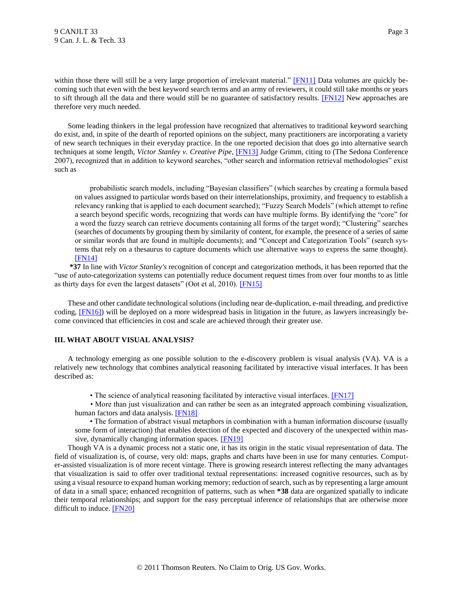<span id="page-2-0"></span>within those there will still be a very large proportion of irrelevant material." [\[FN11\]](#page-9-10) Data volumes are quickly becoming such that even with the best keyword search terms and an army of reviewers, it could still take months or years to sift through all the data and there would still be no guarantee of satisfactory results. [\[FN12\]](#page-9-11) New approaches are therefore very much needed.

Some leading thinkers in the legal profession have recognized that alternatives to traditional keyword searching do exist, and, in spite of the dearth of reported opinions on the subject, many practitioners are incorporating a variety of new search techniques in their everyday practice. In the one reported decision that does go into alternative search techniques at some length, *Victor Stanley v. Creative Pipe*, [\[FN13\]](#page-9-12) Judge Grimm, citing to (The Sedona Conference 2007), recognized that in addition to keyword searches, "other search and information retrieval methodologies" exist such as

<span id="page-2-2"></span><span id="page-2-1"></span>probabilistic search models, including "Bayesian classifiers" (which searches by creating a formula based on values assigned to particular words based on their interrelationships, proximity, and frequency to establish a relevancy ranking that is applied to each document searched); "Fuzzy Search Models" (which attempt to refine a search beyond specific words, recognizing that words can have multiple forms. By identifying the "core" for a word the fuzzy search can retrieve documents containing all forms of the target word); "Clustering" searches (searches of documents by grouping them by similarity of content, for example, the presence of a series of same or similar words that are found in multiple documents); and "Concept and Categorization Tools" (search systems that rely on a thesaurus to capture documents which use alternative ways to express the same thought). [\[FN14\]](#page-9-13)

<span id="page-2-3"></span>**\*37** In line with *Victor Stanley's* recognition of concept and categorization methods, it has been reported that the "use of auto-categorization systems can potentially reduce document request times from over four months to as little as thirty days for even the largest datasets" (Oot et al, 2010). [\[FN15\]](#page-9-14)

<span id="page-2-5"></span>These and other candidate technological solutions (including near de-duplication, e-mail threading, and predictive coding, [\[FN16\]\)](#page-10-0) will be deployed on a more widespread basis in litigation in the future, as lawyers increasingly become convinced that efficiencies in cost and scale are achieved through their greater use.

#### **III. WHAT ABOUT VISUAL ANALYSIS?**

A technology emerging as one possible solution to the e-discovery problem is visual analysis (VA). VA is a relatively new technology that combines analytical reasoning facilitated by interactive visual interfaces. It has been described as:

<span id="page-2-8"></span><span id="page-2-7"></span><span id="page-2-6"></span><span id="page-2-4"></span>• The science of analytical reasoning facilitated by interactive visual interfaces. [\[FN17\]](#page-10-1)

• More than just visualization and can rather be seen as an integrated approach combining visualization, human factors and data analysis[. \[FN18\]](#page-10-2)

• The formation of abstract visual metaphors in combination with a human information discourse (usually some form of interaction) that enables detection of the expected and discovery of the unexpected within massive, dynamically changing information spaces. [\[FN19\]](#page-10-3)

<span id="page-2-9"></span>Though VA is a dynamic process not a static one, it has its origin in the static visual representation of data. The field of visualization is, of course, very old: maps, graphs and charts have been in use for many centuries. Computer-assisted visualization is of more recent vintage. There is growing research interest reflecting the many advantages that visualization is said to offer over traditional textual representations: increased cognitive resources, such as by using a visual resource to expand human working memory; reduction of search, such as by representing a large amount of data in a small space; enhanced recognition of patterns, such as when **\*38** data are organized spatially to indicate their temporal relationships; and support for the easy perceptual inference of relationships that are otherwise more difficult to induce. [\[FN20\]](#page-10-4)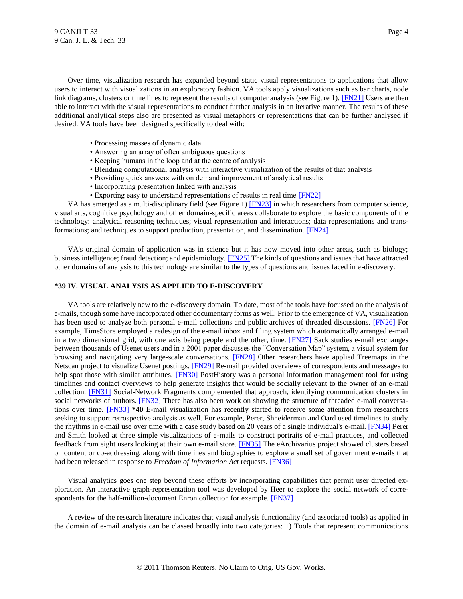Over time, visualization research has expanded beyond static visual representations to applications that allow users to interact with visualizations in an exploratory fashion. VA tools apply visualizations such as bar charts, node link diagrams, clusters or time lines to represent the results of computer analysis (see Figure 1)[. \[FN21\]](#page-10-5) Users are then able to interact with the visual representations to conduct further analysis in an iterative manner. The results of these additional analytical steps also are presented as visual metaphors or representations that can be further analysed if desired. VA tools have been designed specifically to deal with:

- <span id="page-3-0"></span>• Processing masses of dynamic data
- Answering an array of often ambiguous questions
- Keeping humans in the loop and at the centre of analysis
- Blending computational analysis with interactive visualization of the results of that analysis
- Providing quick answers with on demand improvement of analytical results
- <span id="page-3-1"></span>• Incorporating presentation linked with analysis
- <span id="page-3-5"></span><span id="page-3-4"></span><span id="page-3-3"></span><span id="page-3-2"></span>• Exporting easy to understand representations of results in real time [\[FN22\]](#page-10-6)

VA has emerged as a multi-disciplinary field (see Figure 1[\) \[FN23\]](#page-10-7) in which researchers from computer science, visual arts, cognitive psychology and other domain-specific areas collaborate to explore the basic components of the technology: analytical reasoning techniques; visual representation and interactions; data representations and transformations; and techniques to support production, presentation, and dissemination. [\[FN24\]](#page-10-8)

VA's original domain of application was in science but it has now moved into other areas, such as biology; business intelligence; fraud detection; and epidemiology. **[FN25]** The kinds of questions and issues that have attracted other domains of analysis to this technology are similar to the types of questions and issues faced in e-discovery.

### **\*39 IV. VISUAL ANALYSIS AS APPLIED TO E-DISCOVERY**

<span id="page-3-10"></span><span id="page-3-9"></span><span id="page-3-8"></span><span id="page-3-7"></span><span id="page-3-6"></span>VA tools are relatively new to the e-discovery domain. To date, most of the tools have focussed on the analysis of e-mails, though some have incorporated other documentary forms as well. Prior to the emergence of VA, visualization has been used to analyze both personal e-mail collections and public archives of threaded discussions. [\[FN26\]](#page-10-10) For example, TimeStore employed a redesign of the e-mail inbox and filing system which automatically arranged e-mail in a two dimensional grid, with one axis being people and the other, time. [\[FN27\]](#page-10-11) Sack studies e-mail exchanges between thousands of Usenet users and in a 2001 paper discusses the "Conversation Map" system, a visual system for browsing and navigating very large-scale conversations. [\[FN28\]](#page-10-12) Other researchers have applied Treemaps in the Netscan project to visualize Usenet postings. [\[FN29\]](#page-10-13) Re-mail provided overviews of correspondents and messages to help spot those with similar attributes. **[FN30]** PostHistory was a personal information management tool for using timelines and contact overviews to help generate insights that would be socially relevant to the owner of an e-mail collection. [\[FN31\]](#page-10-15) Social-Network Fragments complemented that approach, identifying communication clusters in social networks of authors. [\[FN32\]](#page-11-0) There has also been work on showing the structure of threaded e-mail conversations over time. [\[FN33\]](#page-11-1) **\*40** E-mail visualization has recently started to receive some attention from researchers seeking to support retrospective analysis as well. For example, Perer, Shneiderman and Oard used timelines to study the rhythms in e-mail use over time with a case study based on 20 years of a single individual's e-mail. [\[FN34\]](#page-11-2) Perer and Smith looked at three simple visualizations of e-mails to construct portraits of e-mail practices, and collected feedback from eight users looking at their own e-mail store. [\[FN35\]](#page-11-3) The eArchivarius project showed clusters based on content or co-addressing, along with timelines and biographies to explore a small set of government e-mails that had been released in response to *Freedom of Information Act* requests. [\[FN36\]](#page-11-4)

<span id="page-3-16"></span><span id="page-3-15"></span><span id="page-3-14"></span><span id="page-3-13"></span><span id="page-3-12"></span><span id="page-3-11"></span>Visual analytics goes one step beyond these efforts by incorporating capabilities that permit user directed exploration. An interactive graph-representation tool was developed by Heer to explore the social network of correspondents for the half-million-document Enron collection for example. **[FN37]** 

A review of the research literature indicates that visual analysis functionality (and associated tools) as applied in the domain of e-mail analysis can be classed broadly into two categories: 1) Tools that represent communications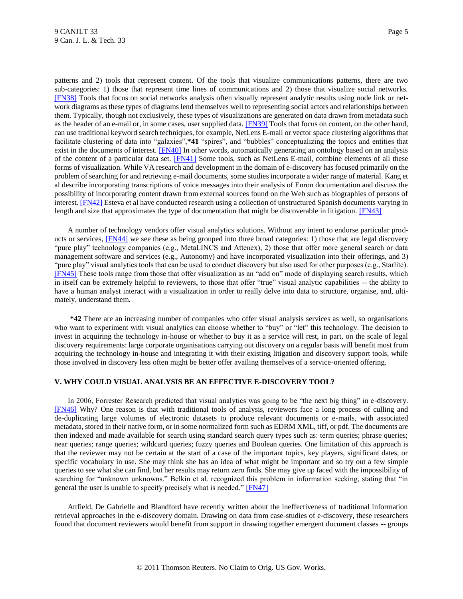<span id="page-4-2"></span><span id="page-4-1"></span><span id="page-4-0"></span>patterns and 2) tools that represent content. Of the tools that visualize communications patterns, there are two sub-categories: 1) those that represent time lines of communications and 2) those that visualize social networks. [\[FN38\]](#page-11-6) Tools that focus on social networks analysis often visually represent analytic results using node link or network diagrams as these types of diagrams lend themselves well to representing social actors and relationships between them. Typically, though not exclusively, these types of visualizations are generated on data drawn from metadata such as the header of an e-mail or, in some cases, user supplied data[. \[FN39\]](#page-11-7) Tools that focus on content, on the other hand, can use traditional keyword search techniques, for example, NetLens E-mail or vector space clustering algorithms that facilitate clustering of data into "galaxies",**\*41** "spires", and "bubbles" conceptualizing the topics and entities that exist in the documents of interest. [\[FN40\]](#page-11-8) In other words, automatically generating an ontology based on an analysis of the content of a particular data set. [\[FN41\]](#page-11-9) Some tools, such as NetLens E-mail, combine elements of all these forms of visualization. While VA research and development in the domain of e-discovery has focused primarily on the problem of searching for and retrieving e-mail documents, some studies incorporate a wider range of material. Kang et al describe incorporating transcriptions of voice messages into their analysis of Enron documentation and discuss the possibility of incorporating content drawn from external sources found on the Web such as biographies of persons of interest. [\[FN42\]](#page-11-10) Esteva et al have conducted research using a collection of unstructured Spanish documents varying in length and size that approximates the type of documentation that might be discoverable in litigation. [\[FN43\]](#page-11-11)

<span id="page-4-7"></span><span id="page-4-6"></span><span id="page-4-5"></span><span id="page-4-4"></span><span id="page-4-3"></span>A number of technology vendors offer visual analytics solutions. Without any intent to endorse particular products or services, [\[FN44\]](#page-11-12) we see these as being grouped into three broad categories: 1) those that are legal discovery "pure play" technology companies (e.g., MetaLINCS and Attenex), 2) those that offer more general search or data management software and services (e.g., Autonomy) and have incorporated visualization into their offerings, and 3) "pure play" visual analytics tools that can be used to conduct discovery but also used for other purposes (e.g., Starlite). [\[FN45\]](#page-12-0) These tools range from those that offer visualization as an "add on" mode of displaying search results, which in itself can be extremely helpful to reviewers, to those that offer "true" visual analytic capabilities -- the ability to have a human analyst interact with a visualization in order to really delve into data to structure, organise, and, ultimately, understand them.

**\*42** There are an increasing number of companies who offer visual analysis services as well, so organisations who want to experiment with visual analytics can choose whether to "buy" or "let" this technology. The decision to invest in acquiring the technology in-house or whether to buy it as a service will rest, in part, on the scale of legal discovery requirements: large corporate organisations carrying out discovery on a regular basis will benefit most from acquiring the technology in-house and integrating it with their existing litigation and discovery support tools, while those involved in discovery less often might be better offer availing themselves of a service-oriented offering.

### **V. WHY COULD VISUAL ANALYSIS BE AN EFFECTIVE E-DISCOVERY TOOL?**

<span id="page-4-8"></span>In 2006, Forrester Research predicted that visual analytics was going to be "the next big thing" in e-discovery. [\[FN46\]](#page-12-1) Why? One reason is that with traditional tools of analysis, reviewers face a long process of culling and de-duplicating large volumes of electronic datasets to produce relevant documents or e-mails, with associated metadata, stored in their native form, or in some normalized form such as EDRM XML, tiff, or pdf. The documents are then indexed and made available for search using standard search query types such as: term queries; phrase queries; near queries; range queries; wildcard queries; fuzzy queries and Boolean queries. One limitation of this approach is that the reviewer may not be certain at the start of a case of the important topics, key players, significant dates, or specific vocabulary in use. She may think she has an idea of what might be important and so try out a few simple queries to see what she can find, but her results may return zero finds. She may give up faced with the impossibility of searching for "unknown unknowns." Belkin et al. recognized this problem in information seeking, stating that "in general the user is unable to specify precisely what is needed." [\[FN47\]](#page-12-2)

<span id="page-4-9"></span>Attfield, De Gabrielle and Blandford have recently written about the ineffectiveness of traditional information retrieval approaches in the e-discovery domain. Drawing on data from case-studies of e-discovery, these researchers found that document reviewers would benefit from support in drawing together emergent document classes -- groups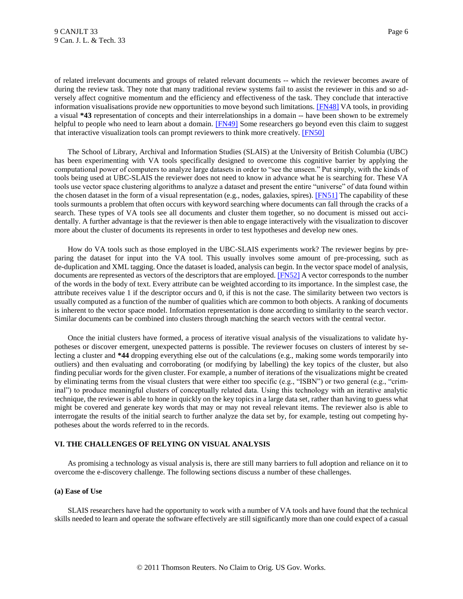<span id="page-5-0"></span>of related irrelevant documents and groups of related relevant documents -- which the reviewer becomes aware of during the review task. They note that many traditional review systems fail to assist the reviewer in this and so adversely affect cognitive momentum and the efficiency and effectiveness of the task. They conclude that interactive information visualisations provide new opportunities to move beyond such limitations[. \[FN48\]](#page-12-3) VA tools, in providing a visual **\*43** representation of concepts and their interrelationships in a domain -- have been shown to be extremely helpful to people who need to learn about a domain. [\[FN49\]](#page-12-4) Some researchers go beyond even this claim to suggest that interactive visualization tools can prompt reviewers to think more creatively. [\[FN50\]](#page-12-5)

<span id="page-5-3"></span><span id="page-5-2"></span><span id="page-5-1"></span>The School of Library, Archival and Information Studies (SLAIS) at the University of British Columbia (UBC) has been experimenting with VA tools specifically designed to overcome this cognitive barrier by applying the computational power of computers to analyze large datasets in order to "see the unseen." Put simply, with the kinds of tools being used at UBC-SLAIS the reviewer does not need to know in advance what he is searching for. These VA tools use vector space clustering algorithms to analyze a dataset and present the entire "universe" of data found within the chosen dataset in the form of a visual representation (e.g., nodes, galaxies, spires). [\[FN51\]](#page-12-6) The capability of these tools surmounts a problem that often occurs with keyword searching where documents can fall through the cracks of a search. These types of VA tools see all documents and cluster them together, so no document is missed out accidentally. A further advantage is that the reviewer is then able to engage interactively with the visualization to discover more about the cluster of documents its represents in order to test hypotheses and develop new ones.

<span id="page-5-4"></span>How do VA tools such as those employed in the UBC-SLAIS experiments work? The reviewer begins by preparing the dataset for input into the VA tool. This usually involves some amount of pre-processing, such as de-duplication and XML tagging. Once the dataset is loaded, analysis can begin. In the vector space model of analysis, documents are represented as vectors of the descriptors that are employed. [\[FN52\]](#page-12-7) A vector corresponds to the number of the words in the body of text. Every attribute can be weighted according to its importance. In the simplest case, the attribute receives value 1 if the descriptor occurs and 0, if this is not the case. The similarity between two vectors is usually computed as a function of the number of qualities which are common to both objects. A ranking of documents is inherent to the vector space model. Information representation is done according to similarity to the search vector. Similar documents can be combined into clusters through matching the search vectors with the central vector.

Once the initial clusters have formed, a process of iterative visual analysis of the visualizations to validate hypotheses or discover emergent, unexpected patterns is possible. The reviewer focuses on clusters of interest by selecting a cluster and **\*44** dropping everything else out of the calculations (e.g., making some words temporarily into outliers) and then evaluating and corroborating (or modifying by labelling) the key topics of the cluster, but also finding peculiar words for the given cluster. For example, a number of iterations of the visualizations might be created by eliminating terms from the visual clusters that were either too specific (e.g., "ISBN") or two general (e.g., "criminal") to produce meaningful clusters of conceptually related data. Using this technology with an iterative analytic technique, the reviewer is able to hone in quickly on the key topics in a large data set, rather than having to guess what might be covered and generate key words that may or may not reveal relevant items. The reviewer also is able to interrogate the results of the initial search to further analyze the data set by, for example, testing out competing hypotheses about the words referred to in the records.

#### **VI. THE CHALLENGES OF RELYING ON VISUAL ANALYSIS**

As promising a technology as visual analysis is, there are still many barriers to full adoption and reliance on it to overcome the e-discovery challenge. The following sections discuss a number of these challenges.

### **(a) Ease of Use**

SLAIS researchers have had the opportunity to work with a number of VA tools and have found that the technical skills needed to learn and operate the software effectively are still significantly more than one could expect of a casual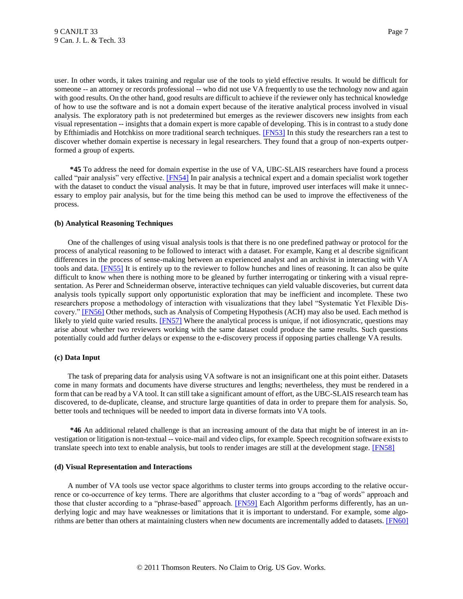user. In other words, it takes training and regular use of the tools to yield effective results. It would be difficult for someone -- an attorney or records professional -- who did not use VA frequently to use the technology now and again with good results. On the other hand, good results are difficult to achieve if the reviewer only has technical knowledge of how to use the software and is not a domain expert because of the iterative analytical process involved in visual analysis. The exploratory path is not predetermined but emerges as the reviewer discovers new insights from each visual representation -- insights that a domain expert is more capable of developing. This is in contrast to a study done by Efthimiadis and Hotchkiss on more traditional search techniques. [\[FN53\]](#page-12-8) In this study the researchers ran a test to discover whether domain expertise is necessary in legal researchers. They found that a group of non-experts outperformed a group of experts.

<span id="page-6-1"></span><span id="page-6-0"></span>**\*45** To address the need for domain expertise in the use of VA, UBC-SLAIS researchers have found a process called "pair analysis" very effective. [\[FN54\]](#page-12-9) In pair analysis a technical expert and a domain specialist work together with the dataset to conduct the visual analysis. It may be that in future, improved user interfaces will make it unnecessary to employ pair analysis, but for the time being this method can be used to improve the effectiveness of the process.

#### **(b) Analytical Reasoning Techniques**

<span id="page-6-2"></span>One of the challenges of using visual analysis tools is that there is no one predefined pathway or protocol for the process of analytical reasoning to be followed to interact with a dataset. For example, Kang et al describe significant differences in the process of sense-making between an experienced analyst and an archivist in interacting with VA tools and data. **[FN55]** It is entirely up to the reviewer to follow hunches and lines of reasoning. It can also be quite difficult to know when there is nothing more to be gleaned by further interrogating or tinkering with a visual representation. As Perer and Schneiderman observe, interactive techniques can yield valuable discoveries, but current data analysis tools typically support only opportunistic exploration that may be inefficient and incomplete. These two researchers propose a methodology of interaction with visualizations that they label "Systematic Yet Flexible Dis-covery.[" \[FN56\]](#page-12-11) Other methods, such as Analysis of Competing Hypothesis (ACH) may also be used. Each method is likely to yield quite varied results. **[FN57]** Where the analytical process is unique, if not idiosyncratic, questions may arise about whether two reviewers working with the same dataset could produce the same results. Such questions potentially could add further delays or expense to the e-discovery process if opposing parties challenge VA results.

#### <span id="page-6-4"></span><span id="page-6-3"></span>**(c) Data Input**

The task of preparing data for analysis using VA software is not an insignificant one at this point either. Datasets come in many formats and documents have diverse structures and lengths; nevertheless, they must be rendered in a form that can be read by a VA tool. It can still take a significant amount of effort, as the UBC-SLAIS research team has discovered, to de-duplicate, cleanse, and structure large quantities of data in order to prepare them for analysis. So, better tools and techniques will be needed to import data in diverse formats into VA tools.

<span id="page-6-5"></span>**\*46** An additional related challenge is that an increasing amount of the data that might be of interest in an investigation or litigation is non-textual -- voice-mail and video clips, for example. Speech recognition software exists to translate speech into text to enable analysis, but tools to render images are still at the development stage. [\[FN58\]](#page-13-0)

#### **(d) Visual Representation and Interactions**

<span id="page-6-7"></span><span id="page-6-6"></span>A number of VA tools use vector space algorithms to cluster terms into groups according to the relative occurrence or co-occurrence of key terms. There are algorithms that cluster according to a "bag of words" approach and those that cluster according to a "phrase-based" approach. [\[FN59\]](#page-13-1) Each Algorithm performs differently, has an underlying logic and may have weaknesses or limitations that it is important to understand. For example, some algorithms are better than others at maintaining clusters when new documents are incrementally added to datasets[. \[FN60\]](#page-13-2)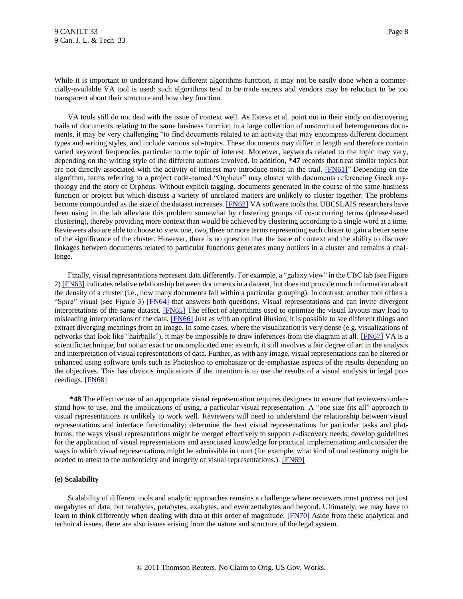While it is important to understand how different algorithms function, it may not be easily done when a commercially-available VA tool is used: such algorithms tend to be trade secrets and vendors may be reluctant to be too transparent about their structure and how they function.

<span id="page-7-0"></span>VA tools still do not deal with the issue of context well. As Esteva et al. point out in their study on discovering trails of documents relating to the same business function in a large collection of unstructured heterogeneous documents, it may be very challenging "to find documents related to an activity that may encompass different document types and writing styles, and include various sub-topics. These documents may differ in length and therefore contain varied keyword frequencies particular to the topic of interest. Moreover, keywords related to the topic may vary, depending on the writing style of the different authors involved. In addition, **\*47** records that treat similar topics but are not directly associated with the activity of interest may introduce noise in the trail. [\[FN61\]"](#page-13-3) Depending on the algorithm, terms referring to a project code-named "Orpheus" may cluster with documents referencing Greek mythology and the story of Orpheus. Without explicit tagging, documents generated in the course of the same business function or project but which discuss a variety of unrelated matters are unlikely to cluster together. The problems become compounded as the size of the dataset increases. [\[FN62\]](#page-13-4) VA software tools that UBCSLAIS researchers have been using in the lab alleviate this problem somewhat by clustering groups of co-occurring terms (phrase-based clustering), thereby providing more context than would be achieved by clustering according to a single word at a time. Reviewers also are able to choose to view one, two, three or more terms representing each cluster to gain a better sense of the significance of the cluster. However, there is no question that the issue of context and the ability to discover linkages between documents related to particular functions generates many outliers in a cluster and remains a challenge.

<span id="page-7-6"></span><span id="page-7-5"></span><span id="page-7-4"></span><span id="page-7-3"></span><span id="page-7-2"></span><span id="page-7-1"></span>Finally, visual representations represent data differently. For example, a "galaxy view" in the UBC lab (see Figure 2[\) \[FN63\]](#page-13-5) indicates relative relationship between documents in a dataset, but does not provide much information about the density of a cluster (i.e., how many documents fall within a particular grouping). In contrast, another tool offers a "Spire" visual (see Figure 3) [\[FN64\]](#page-13-6) that answers both questions. Visual representations and can invite divergent interpretations of the same dataset. [\[FN65\]](#page-13-7) The effect of algorithms used to optimize the visual layouts may lead to misleading interpretations of the data. [\[FN66\]](#page-13-8) Just as with an optical illusion, it is possible to see different things and extract diverging meanings from an image. In some cases, where the visualization is very dense (e.g. visualizations of networks that look like "hairballs"), it may be impossible to draw inferences from the diagram at all. [\[FN67\]](#page-13-9) VA is a scientific technique, but not an exact or uncomplicated one; as such, it still involves a fair degree of art in the analysis and interpretation of visual representations of data. Further, as with any image, visual representations can be altered or enhanced using software tools such as Photoshop to emphasize or de-emphasize aspects of the results depending on the objectives. This has obvious implications if the intention is to use the results of a visual analysis in legal proceedings. [\[FN68\]](#page-13-10)

<span id="page-7-7"></span>**\*48** The effective use of an appropriate visual representation requires designers to ensure that reviewers understand how to use, and the implications of using, a particular visual representation. A "one size fits all" approach to visual representations is unlikely to work well. Reviewers will need to understand the relationship between visual representations and interface functionality; determine the best visual representations for particular tasks and platforms; the ways visual representations might be merged effectively to support e-discovery needs; develop guidelines for the application of visual representations and associated knowledge for practical implementation; and consider the ways in which visual representations might be admissible in court (for example, what kind of oral testimony might be needed to attest to the authenticity and integrity of visual representations.). [\[FN69\]](#page-13-11)

## <span id="page-7-8"></span>**(e) Scalability**

<span id="page-7-9"></span>Scalability of different tools and analytic approaches remains a challenge where reviewers must process not just megabytes of data, but terabytes, petabytes, exabytes, and even zettabytes and beyond. Ultimately, we may have to learn to think differently when dealing with data at this order of magnitude. [\[FN70\]](#page-13-12) Aside from these analytical and technical issues, there are also issues arising from the nature and structure of the legal system.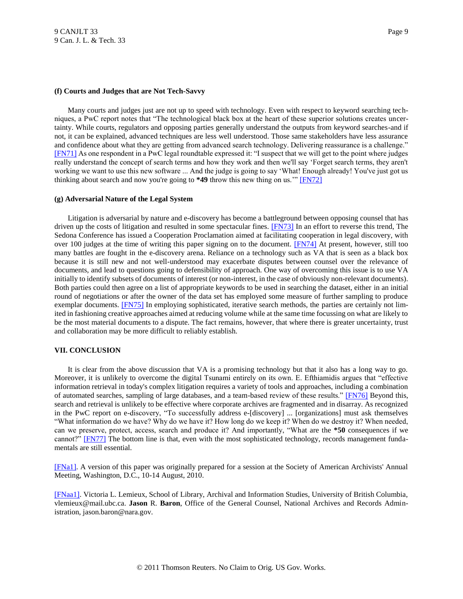### **(f) Courts and Judges that are Not Tech-Savvy**

<span id="page-8-2"></span>Many courts and judges just are not up to speed with technology. Even with respect to keyword searching techniques, a PwC report notes that "The technological black box at the heart of these superior solutions creates uncertainty. While courts, regulators and opposing parties generally understand the outputs from keyword searches-and if not, it can be explained, advanced techniques are less well understood. Those same stakeholders have less assurance and confidence about what they are getting from advanced search technology. Delivering reassurance is a challenge." [\[FN71\]](#page-14-0) As one respondent in a PwC legal roundtable expressed it: "I suspect that we will get to the point where judges really understand the concept of search terms and how they work and then we'll say "Forget search terms, they aren't working we want to use this new software ... And the judge is going to say 'What! Enough already! You've just got us thinking about search and now you're going to  $*49$  throw this new thing on us." [\[FN72\]](#page-14-1)

### <span id="page-8-3"></span>**(g) Adversarial Nature of the Legal System**

<span id="page-8-5"></span><span id="page-8-4"></span>Litigation is adversarial by nature and e-discovery has become a battleground between opposing counsel that has driven up the costs of litigation and resulted in some spectacular fines. [\[FN73\]](#page-14-2) In an effort to reverse this trend, The Sedona Conference has issued a Cooperation Proclamation aimed at facilitating cooperation in legal discovery, with over 100 judges at the time of writing this paper signing on to the document. [\[FN74\]](#page-14-3) At present, however, still too many battles are fought in the e-discovery arena. Reliance on a technology such as VA that is seen as a black box because it is still new and not well-understood may exacerbate disputes between counsel over the relevance of documents, and lead to questions going to defensibility of approach. One way of overcoming this issue is to use VA initially to identify subsets of documents of interest (or non-interest, in the case of obviously non-relevant documents). Both parties could then agree on a list of appropriate keywords to be used in searching the dataset, either in an initial round of negotiations or after the owner of the data set has employed some measure of further sampling to produce exemplar documents. [\[FN75\]](#page-14-4) In employing sophisticated, iterative search methods, the parties are certainly not limited in fashioning creative approaches aimed at reducing volume while at the same time focussing on what are likely to be the most material documents to a dispute. The fact remains, however, that where there is greater uncertainty, trust and collaboration may be more difficult to reliably establish.

# <span id="page-8-6"></span>**VII. CONCLUSION**

<span id="page-8-7"></span>It is clear from the above discussion that VA is a promising technology but that it also has a long way to go. Moreover, it is unlikely to overcome the digital Tsunami entirely on its own. E. Efthiamidis argues that "effective information retrieval in today's complex litigation requires a variety of tools and approaches, including a combination of automated searches, sampling of large databases, and a team-based review of these results." [\[FN76\]](#page-14-5) Beyond this, search and retrieval is unlikely to be effective where corporate archives are fragmented and in disarray. As recognized in the PwC report on e-discovery, "To successfully address e-[discovery] ... [organizations] must ask themselves "What information do we have? Why do we have it? How long do we keep it? When do we destroy it? When needed, can we preserve, protect, access, search and produce it? And importantly, "What are the **\*50** consequences if we cannot?" [\[FN77\]](#page-14-6) The bottom line is that, even with the most sophisticated technology, records management fundamentals are still essential.

<span id="page-8-8"></span><span id="page-8-0"></span>[\[FNa1\].](#page-0-0) A version of this paper was originally prepared for a session at the Society of American Archivists' Annual Meeting, Washington, D.C., 10-14 August, 2010.

<span id="page-8-1"></span>[\[FNaa1\].](#page-0-1) Victoria L. Lemieux, School of Library, Archival and Information Studies, University of British Columbia, vlemieux@mail.ubc.ca. **Jason** R. **Baron**, Office of the General Counsel, National Archives and Records Administration, jason.baron@nara.gov.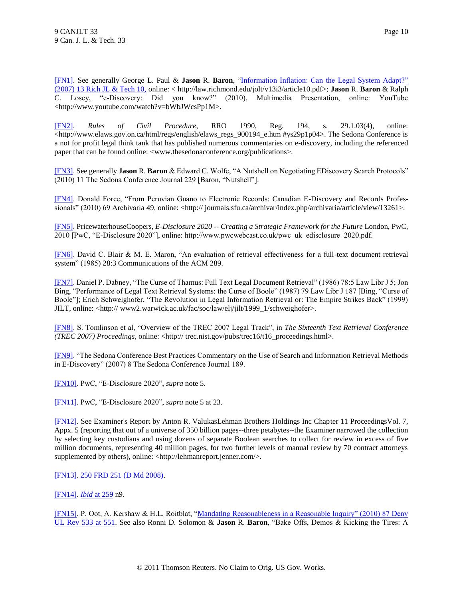<span id="page-9-0"></span>[\[FN1\].](#page-0-2) See generally George L. Paul & **Jason** R. **Baron**, ["Information Inflation: Can the Legal System Adapt?"](http://www.westlaw.com/Find/Default.wl?rs=dfa1.0&vr=2.0&DB=109834&FindType=Y&SerialNum=0331259447)  [\(2007\) 13 Rich JL & Tech 10,](http://www.westlaw.com/Find/Default.wl?rs=dfa1.0&vr=2.0&DB=109834&FindType=Y&SerialNum=0331259447) online: < http://law.richmond.edu/jolt/v13i3/article10.pdf>; **Jason** R. **Baron** & Ralph C. Losey, "e-Discovery: Did you know?" (2010), Multimedia Presentation, online: YouTube <http://www.youtube.com/watch?v=bWbJWcsPp1M>.

<span id="page-9-1"></span>[\[FN2\].](#page-1-0) *Rules of Civil Procedure*, RRO 1990, Reg. 194, s. 29.1.03(4), online: <http://www.elaws.gov.on.ca/html/regs/english/elaws\_regs\_900194\_e.htm #ys29p1p04>. The Sedona Conference is a not for profit legal think tank that has published numerous commentaries on e-discovery, including the referenced paper that can be found online: <www.thesedonaconference.org/publications>.

<span id="page-9-2"></span>[\[FN3\].](#page-1-1) See generally **Jason** R. **Baron** & Edward C. Wolfe, "A Nutshell on Negotiating EDiscovery Search Protocols" (2010) 11 The Sedona Conference Journal 229 [Baron, "Nutshell"].

<span id="page-9-3"></span>[\[FN4\].](#page-1-2) Donald Force, "From Peruvian Guano to Electronic Records: Canadian E-Discovery and Records Professionals" (2010) 69 Archivaria 49, online: <http:// journals.sfu.ca/archivar/index.php/archivaria/article/view/13261>.

<span id="page-9-4"></span>[\[FN5\].](#page-1-3) PricewaterhouseCoopers, *E-Disclosure 2020 -- Creating a Strategic Framework for the Future* London, PwC, 2010 [PwC, "E-Disclosure 2020"], online: http://www.pwcwebcast.co.uk/pwc\_uk\_edisclosure\_2020.pdf.

<span id="page-9-5"></span>[\[FN6\].](#page-1-4) David C. Blair & M. E. Maron, "An evaluation of retrieval effectiveness for a full-text document retrieval system" (1985) 28:3 Communications of the ACM 289.

<span id="page-9-6"></span>[\[FN7\].](#page-1-5) Daniel P. Dabney, "The Curse of Thamus: Full Text Legal Document Retrieval" (1986) 78:5 Law Libr J 5; Jon Bing, "Performance of Legal Text Retrieval Systems: the Curse of Boole" (1987) 79 Law Libr J 187 [Bing, "Curse of Boole"]; Erich Schweighofer, "The Revolution in Legal Information Retrieval or: The Empire Strikes Back" (1999) JILT, online: <http:// www2.warwick.ac.uk/fac/soc/law/elj/jilt/1999\_1/schweighofer>.

<span id="page-9-7"></span>[\[FN8\].](#page-1-6) S. Tomlinson et al, "Overview of the TREC 2007 Legal Track", in *The Sixteenth Text Retrieval Conference (TREC 2007) Proceedings*, online: <http:// trec.nist.gov/pubs/trec16/t16\_proceedings.html>.

<span id="page-9-8"></span>[\[FN9\].](#page-1-7) "The Sedona Conference Best Practices Commentary on the Use of Search and Information Retrieval Methods in E-Discovery" (2007) 8 The Sedona Conference Journal 189.

<span id="page-9-9"></span>[\[FN10\].](#page-1-8) PwC, "E-Disclosure 2020", *supra* note 5.

<span id="page-9-10"></span>[\[FN11\].](#page-2-0) PwC, "E-Disclosure 2020", *supra* note 5 at 23.

<span id="page-9-11"></span>[\[FN12\].](#page-2-1) See Examiner's Report by Anton R. ValukasLehman Brothers Holdings Inc Chapter 11 ProceedingsVol. 7, Appx. 5 (reporting that out of a universe of 350 billion pages--three petabytes--the Examiner narrowed the collection by selecting key custodians and using dozens of separate Boolean searches to collect for review in excess of five million documents, representing 40 million pages, for two further levels of manual review by 70 contract attorneys supplemented by others), online: <http://lehmanreport.jenner.com/>.

<span id="page-9-12"></span>[\[FN13\].](#page-2-2) [250 FRD 251 \(D Md 2008\).](http://www.westlaw.com/Find/Default.wl?rs=dfa1.0&vr=2.0&DB=0000344&FindType=Y&SerialNum=2016215029)

<span id="page-9-13"></span>[\[FN14\].](#page-2-3) *[Ibid](http://www.westlaw.com/Find/Default.wl?rs=dfa1.0&vr=2.0&DB=0000344&FindType=Y&ReferencePositionType=S&SerialNum=2016215029&ReferencePosition=259)* [at 259](http://www.westlaw.com/Find/Default.wl?rs=dfa1.0&vr=2.0&DB=0000344&FindType=Y&ReferencePositionType=S&SerialNum=2016215029&ReferencePosition=259) n9.

<span id="page-9-14"></span>[\[FN15\].](#page-2-4) P. Oot, A. Kershaw & H.L. Roitblat, "Mandating Reasonableness in a Reasonable Inquiry" (2010) 87 Denv [UL Rev 533 at 551.](http://www.westlaw.com/Find/Default.wl?rs=dfa1.0&vr=2.0&DB=100171&FindType=Y&ReferencePositionType=S&SerialNum=0353291861&ReferencePosition=551) See also Ronni D. Solomon & **Jason** R. **Baron**, "Bake Offs, Demos & Kicking the Tires: A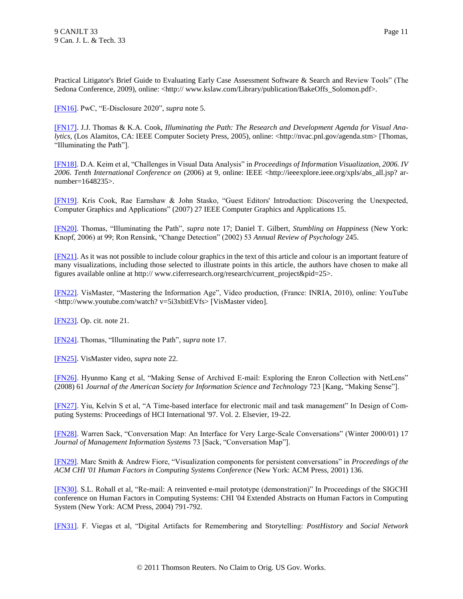Practical Litigator's Brief Guide to Evaluating Early Case Assessment Software & Search and Review Tools" (The Sedona Conference, 2009), online: <http:// www.kslaw.com/Library/publication/BakeOffs\_Solomon.pdf>.

<span id="page-10-0"></span>[\[FN16\].](#page-2-5) PwC, "E-Disclosure 2020", *supra* note 5.

<span id="page-10-1"></span>[\[FN17\].](#page-2-6) J.J. Thomas & K.A. Cook, *Illuminating the Path: The Research and Development Agenda for Visual Analytics*, (Los Alamitos, CA: IEEE Computer Society Press, 2005), online: <http://nvac.pnl.gov/agenda.stm> [Thomas, "Illuminating the Path"].

<span id="page-10-2"></span>[\[FN18\].](#page-2-7) D.A. Keim et al, "Challenges in Visual Data Analysis" in *Proceedings of Information Visualization, 2006. IV 2006. Tenth International Conference on* (2006) at 9, online: IEEE <http://ieeexplore.ieee.org/xpls/abs\_all.jsp? arnumber=1648235>.

<span id="page-10-3"></span>[\[FN19\].](#page-2-8) Kris Cook, Rae Earnshaw & John Stasko, "Guest Editors' Introduction: Discovering the Unexpected, Computer Graphics and Applications" (2007) 27 IEEE Computer Graphics and Applications 15.

<span id="page-10-4"></span>[\[FN20\].](#page-2-9) Thomas, "Illuminating the Path", *supra* note 17; Daniel T. Gilbert, *Stumbling on Happiness* (New York: Knopf, 2006) at 99; Ron Rensink, "Change Detection" (2002) 53 *Annual Review of Psychology* 245.

<span id="page-10-5"></span>[\[FN21\].](#page-3-0) As it was not possible to include colour graphics in the text of this article and colour is an important feature of many visualizations, including those selected to illustrate points in this article, the authors have chosen to make all figures available online at http:// www.ciferresearch.org/research/current\_project&pid=25>.

<span id="page-10-6"></span>[\[FN22\].](#page-3-1) VisMaster, "Mastering the Information Age", Video production, (France: INRIA, 2010), online: YouTube <http://www.youtube.com/watch? v=5i3xbitEVfs> [VisMaster video].

<span id="page-10-7"></span>[\[FN23\].](#page-3-2) Op. cit. note 21.

<span id="page-10-8"></span>[\[FN24\].](#page-3-3) Thomas, "Illuminating the Path", *supra* note 17.

<span id="page-10-9"></span>[\[FN25\].](#page-3-4) VisMaster video, *supra* note 22.

<span id="page-10-10"></span>[\[FN26\].](#page-3-5) Hyunmo Kang et al, "Making Sense of Archived E-mail: Exploring the Enron Collection with NetLens" (2008) 61 *Journal of the American Society for Information Science and Technology* 723 [Kang, "Making Sense"].

<span id="page-10-11"></span>[\[FN27\].](#page-3-6) Yiu, Kelvin S et al, "A Time-based interface for electronic mail and task management" In Design of Computing Systems: Proceedings of HCI International '97. Vol. 2. Elsevier, 19-22.

<span id="page-10-12"></span>[\[FN28\].](#page-3-7) Warren Sack, "Conversation Map: An Interface for Very Large-Scale Conversations" (Winter 2000/01) 17 *Journal of Management Information Systems* 73 [Sack, "Conversation Map"].

<span id="page-10-13"></span>[\[FN29\].](#page-3-8) Marc Smith & Andrew Fiore, "Visualization components for persistent conversations" in *Proceedings of the ACM CHI '01 Human Factors in Computing Systems Conference* (New York: ACM Press, 2001) 136.

<span id="page-10-14"></span>[\[FN30\].](#page-3-9) S.L. Rohall et al, "Re-mail: A reinvented e-mail prototype (demonstration)" In Proceedings of the SIGCHI conference on Human Factors in Computing Systems: CHI '04 Extended Abstracts on Human Factors in Computing System (New York: ACM Press, 2004) 791-792.

<span id="page-10-15"></span>[\[FN31\].](#page-3-10) F. Viegas et al, "Digital Artifacts for Remembering and Storytelling: *PostHistory* and *Social Network*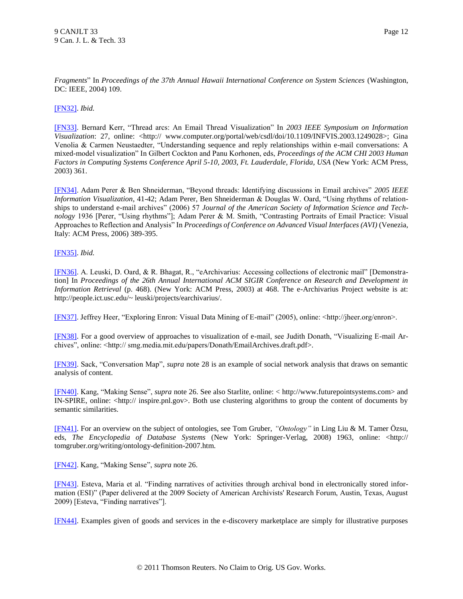*Fragments*" In *Proceedings of the 37th Annual Hawaii International Conference on System Sciences* (Washington, DC: IEEE, 2004) 109.

## <span id="page-11-0"></span>[\[FN32\].](#page-3-11) *Ibid.*

<span id="page-11-1"></span>[\[FN33\].](#page-3-12) Bernard Kerr, "Thread arcs: An Email Thread Visualization" In *2003 IEEE Symposium on Information Visualization*: 27, online: <http:// www.computer.org/portal/web/csdl/doi/10.1109/INFVIS.2003.1249028>; Gina Venolia & Carmen Neustaedter, "Understanding sequence and reply relationships within e-mail conversations: A mixed-model visualization" In Gilbert Cockton and Panu Korhonen, eds, *Proceedings of the ACM CHI 2003 Human Factors in Computing Systems Conference April 5-10, 2003, Ft. Lauderdale, Florida, USA* (New York: ACM Press, 2003) 361.

<span id="page-11-2"></span>[\[FN34\].](#page-3-13) Adam Perer & Ben Shneiderman, "Beyond threads: Identifying discussions in Email archives" *2005 IEEE Information Visualization*, 41-42; Adam Perer, Ben Shneiderman & Douglas W. Oard, "Using rhythms of relationships to understand e-mail archives" (2006) 57 *Journal of the American Society of Information Science and Technology* 1936 [Perer, "Using rhythms"]; Adam Perer & M. Smith, "Contrasting Portraits of Email Practice: Visual Approaches to Reflection and Analysis" In *Proceedings of Conference on Advanced Visual Interfaces (AVI)* (Venezia, Italy: ACM Press, 2006) 389-395.

## <span id="page-11-3"></span>[\[FN35\].](#page-3-14) *Ibid.*

<span id="page-11-4"></span>[\[FN36\].](#page-3-15) A. Leuski, D. Oard, & R. Bhagat, R., "eArchivarius: Accessing collections of electronic mail" [Demonstration] In *Proceedings of the 26th Annual International ACM SIGIR Conference on Research and Development in Information Retrieval* (p. 468). (New York: ACM Press, 2003) at 468. The e-Archivarius Project website is at: http://people.ict.usc.edu/~ leuski/projects/earchivarius/.

<span id="page-11-5"></span>[\[FN37\].](#page-3-16) Jeffrey Heer, "Exploring Enron: Visual Data Mining of E-mail" (2005), online: <http://jheer.org/enron>.

<span id="page-11-6"></span>[\[FN38\].](#page-4-0) For a good overview of approaches to visualization of e-mail, see Judith Donath, "Visualizing E-mail Archives", online: <http:// smg.media.mit.edu/papers/Donath/EmailArchives.draft.pdf>.

<span id="page-11-7"></span>[\[FN39\].](#page-4-1) Sack, "Conversation Map", *supra* note 28 is an example of social network analysis that draws on semantic analysis of content.

<span id="page-11-8"></span>[\[FN40\].](#page-4-2) Kang, "Making Sense", *supra* note 26. See also Starlite, online: < http://www.futurepointsystems.com> and IN-SPIRE, online: <http:// inspire.pnl.gov>. Both use clustering algorithms to group the content of documents by semantic similarities.

<span id="page-11-9"></span>[\[FN41\].](#page-4-3) For an overview on the subject of ontologies, see Tom Gruber, *"Ontology"* in Ling Liu & M. Tamer Özsu, eds, *The Encyclopedia of Database Systems* (New York: Springer-Verlag, 2008) 1963, online: <http:// tomgruber.org/writing/ontology-definition-2007.htm.

<span id="page-11-10"></span>[\[FN42\].](#page-4-4) Kang, "Making Sense", *supra* note 26.

<span id="page-11-11"></span>[\[FN43\].](#page-4-5) Esteva, Maria et al. "Finding narratives of activities through archival bond in electronically stored information (ESI)" (Paper delivered at the 2009 Society of American Archivists' Research Forum, Austin, Texas, August 2009) [Esteva, "Finding narratives"].

<span id="page-11-12"></span>[\[FN44\].](#page-4-6) Examples given of goods and services in the e-discovery marketplace are simply for illustrative purposes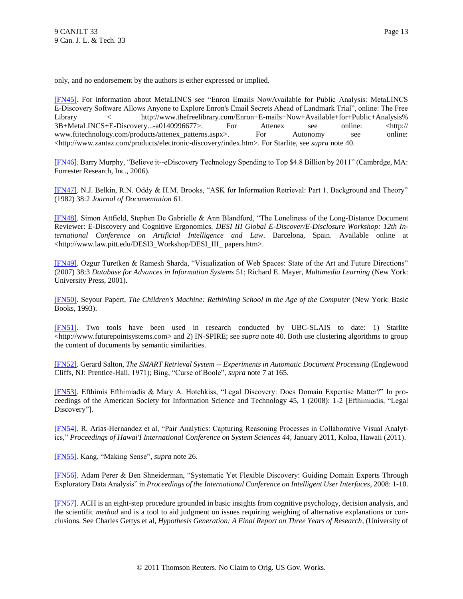only, and no endorsement by the authors is either expressed or implied.

<span id="page-12-0"></span>[\[FN45\].](#page-4-7) For information about MetaLINCS see "Enron Emails NowAvailable for Public Analysis: MetaLINCS E-Discovery Software Allows Anyone to Explore Enron's Email Secrets Ahead of Landmark Trial", online: The Free Library < http://www.thefreelibrary.com/Enron+E-mails+Now+Available+for+Public+Analysis% 3B+MetaLINCS+E-Discovery...-a0140996677>. For Attenex see online: <http:// www.ftitechnology.com/products/attenex\_patterns.aspx>. For Autonomy see online: <http://www.zantaz.com/products/electronic-discovery/index.htm>. For Starlite, see *supra* note 40.

<span id="page-12-1"></span>[\[FN46\].](#page-4-8) Barry Murphy, "Believe it--eDiscovery Technology Spending to Top \$4.8 Billion by 2011" (Cambrdge, MA: Forrester Research, Inc., 2006).

<span id="page-12-2"></span>[\[FN47\].](#page-4-9) N.J. Belkin, R.N. Oddy & H.M. Brooks, "ASK for Information Retrieval: Part 1. Background and Theory" (1982) 38:2 *Journal of Documentation* 61.

<span id="page-12-3"></span>[\[FN48\].](#page-5-0) Simon Attfield, Stephen De Gabrielle & Ann Blandford, "The Loneliness of the Long-Distance Document Reviewer: E-Discovery and Cognitive Ergonomics. *DESI III Global E-Discover/E-Disclosure Workshop: 12th International Conference on Artificial Intelligence and Law*. Barcelona, Spain. Available online at <http://www.law.pitt.edu/DESI3\_Workshop/DESI\_III\_ papers.htm>.

<span id="page-12-4"></span>[\[FN49\].](#page-5-1) Ozgur Turetken & Ramesh Sharda, "Visualization of Web Spaces: State of the Art and Future Directions" (2007) 38:3 *Database for Advances in Information Systems* 51; Richard E. Mayer, *Multimedia Learning* (New York: University Press, 2001).

<span id="page-12-5"></span>[\[FN50\].](#page-5-2) Seyour Papert, *The Children's Machine: Rethinking School in the Age of the Computer* (New York: Basic Books, 1993).

<span id="page-12-6"></span>[\[FN51\].](#page-5-3) Two tools have been used in research conducted by UBC-SLAIS to date: 1) Starlite <http://www.futurepointsystems.com> and 2) IN-SPIRE; see *supra* note 40. Both use clustering algorithms to group the content of documents by semantic similarities.

<span id="page-12-7"></span>[\[FN52\].](#page-5-4) Gerard Salton, *The SMART Retrieval System -- Experiments in Automatic Document Processing* (Englewood Cliffs, NJ: Prentice-Hall, 1971); Bing, "Curse of Boole", *supra* note 7 at 165.

<span id="page-12-8"></span>[\[FN53\].](#page-6-0) Efthimis Efthimiadis & Mary A. Hotchkiss, "Legal Discovery: Does Domain Expertise Matter?" In proceedings of the American Society for Information Science and Technology 45, 1 (2008): 1-2 [Efthimiadis, "Legal Discovery"].

<span id="page-12-9"></span>[\[FN54\].](#page-6-1) R. Arias-Hernandez et al, "Pair Analytics: Capturing Reasoning Processes in Collaborative Visual Analytics," *Proceedings of Hawai'I International Conference on System Sciences 44*, January 2011, Koloa, Hawaii (2011).

<span id="page-12-10"></span>[\[FN55\].](#page-6-2) Kang, "Making Sense", *supra* note 26.

<span id="page-12-11"></span>[\[FN56\].](#page-6-3) Adam Perer & Ben Shneiderman, "Systematic Yet Flexible Discovery: Guiding Domain Experts Through Exploratory Data Analysis" in *Proceedings of the International Conference on Intelligent User Interfaces*, 2008: 1-10.

<span id="page-12-12"></span>[\[FN57\].](#page-6-4) ACH is an eight-step procedure grounded in basic insights from cognitive psychology, decision analysis, and the scientific *method* and is a tool to aid judgment on issues requiring weighing of alternative explanations or conclusions. See Charles Gettys et al, *Hypothesis Generation: A Final Report on Three Years of Research*, (University of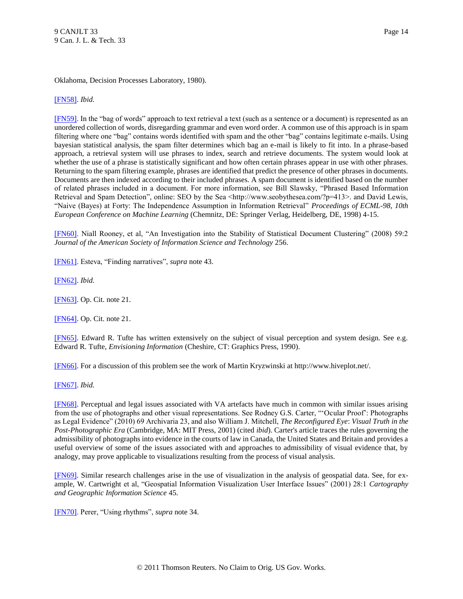## Oklahoma, Decision Processes Laboratory, 1980).

### <span id="page-13-0"></span>[\[FN58\].](#page-6-5) *Ibid.*

<span id="page-13-1"></span>[\[FN59\].](#page-6-6) In the "bag of words" approach to text retrieval a text (such as a sentence or a document) is represented as an unordered collection of words, disregarding grammar and even word order. A common use of this approach is in spam filtering where one "bag" contains words identified with spam and the other "bag" contains legitimate e-mails. Using bayesian statistical analysis, the spam filter determines which bag an e-mail is likely to fit into. In a phrase-based approach, a retrieval system will use phrases to index, search and retrieve documents. The system would look at whether the use of a phrase is statistically significant and how often certain phrases appear in use with other phrases. Returning to the spam filtering example, phrases are identified that predict the presence of other phrases in documents. Documents are then indexed according to their included phrases. A spam document is identified based on the number of related phrases included in a document. For more information, see Bill Slawsky, "Phrased Based Information Retrieval and Spam Detection", online: SEO by the Sea <http://www.seobythesea.com/?p=413>. and David Lewis, "Naive (Bayes) at Forty: The Independence Assumption in Information Retrieval" *Proceedings of ECML-98, 10th European Conference on Machine Learning* (Chemnitz, DE: Springer Verlag, Heidelberg, DE, 1998) 4-15.

<span id="page-13-2"></span>[\[FN60\].](#page-6-7) Niall Rooney, et al, "An Investigation into the Stability of Statistical Document Clustering" (2008) 59:2 *Journal of the American Society of Information Science and Technology* 256.

<span id="page-13-3"></span>[\[FN61\].](#page-7-0) Esteva, "Finding narratives", *supra* note 43.

<span id="page-13-4"></span>[\[FN62\].](#page-7-1) *Ibid.*

<span id="page-13-5"></span>[\[FN63\].](#page-7-2) Op. Cit. note 21.

<span id="page-13-6"></span>[\[FN64\].](#page-7-3) Op. Cit. note 21.

<span id="page-13-7"></span>[\[FN65\].](#page-7-4) Edward R. Tufte has written extensively on the subject of visual perception and system design. See e.g. Edward R. Tufte, *Envisioning Information* (Cheshire, CT: Graphics Press, 1990).

<span id="page-13-8"></span>[\[FN66\].](#page-7-5) For a discussion of this problem see the work of Martin Kryzwinski at http://www.hiveplot.net/.

<span id="page-13-9"></span>[\[FN67\].](#page-7-6) *Ibid.*

<span id="page-13-10"></span>[\[FN68\].](#page-7-7) Perceptual and legal issues associated with VA artefacts have much in common with similar issues arising from the use of photographs and other visual representations. See Rodney G.S. Carter, ""Ocular Proof": Photographs as Legal Evidence" (2010) 69 Archivaria 23, and also William J. Mitchell, *The Reconfigured Eye*: *Visual Truth in the Post-Photographic Era* (Cambridge, MA: MIT Press, 2001) (cited *ibid*). Carter's article traces the rules governing the admissibility of photographs into evidence in the courts of law in Canada, the United States and Britain and provides a useful overview of some of the issues associated with and approaches to admissibility of visual evidence that, by analogy, may prove applicable to visualizations resulting from the process of visual analysis.

<span id="page-13-11"></span>[\[FN69\].](#page-7-8) Similar research challenges arise in the use of visualization in the analysis of geospatial data. See, for example, W. Cartwright et al, "Geospatial Information Visualization User Interface Issues" (2001) 28:1 *Cartography and Geographic Information Science* 45.

<span id="page-13-12"></span>[\[FN70\].](#page-7-9) Perer, "Using rhythms", *supra* note 34.